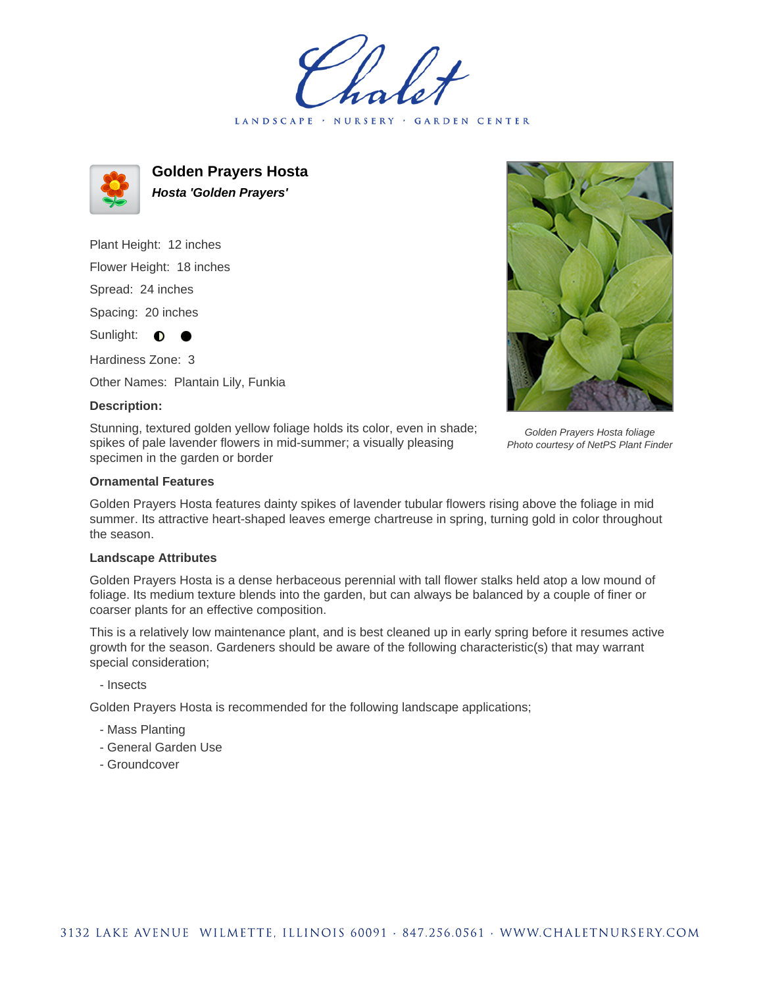LANDSCAPE · NURSERY GARDEN CENTER



**Golden Prayers Hosta Hosta 'Golden Prayers'**

Plant Height: 12 inches Flower Height: 18 inches Spread: 24 inches Spacing: 20 inches Sunlight:  $\bullet$ 

Hardiness Zone: 3

Other Names: Plantain Lily, Funkia

## **Description:**

Stunning, textured golden yellow foliage holds its color, even in shade; spikes of pale lavender flowers in mid-summer; a visually pleasing specimen in the garden or border

Golden Prayers Hosta foliage Photo courtesy of NetPS Plant Finder

## **Ornamental Features**

Golden Prayers Hosta features dainty spikes of lavender tubular flowers rising above the foliage in mid summer. Its attractive heart-shaped leaves emerge chartreuse in spring, turning gold in color throughout the season.

## **Landscape Attributes**

Golden Prayers Hosta is a dense herbaceous perennial with tall flower stalks held atop a low mound of foliage. Its medium texture blends into the garden, but can always be balanced by a couple of finer or coarser plants for an effective composition.

This is a relatively low maintenance plant, and is best cleaned up in early spring before it resumes active growth for the season. Gardeners should be aware of the following characteristic(s) that may warrant special consideration;

- Insects

Golden Prayers Hosta is recommended for the following landscape applications;

- Mass Planting
- General Garden Use
- Groundcover